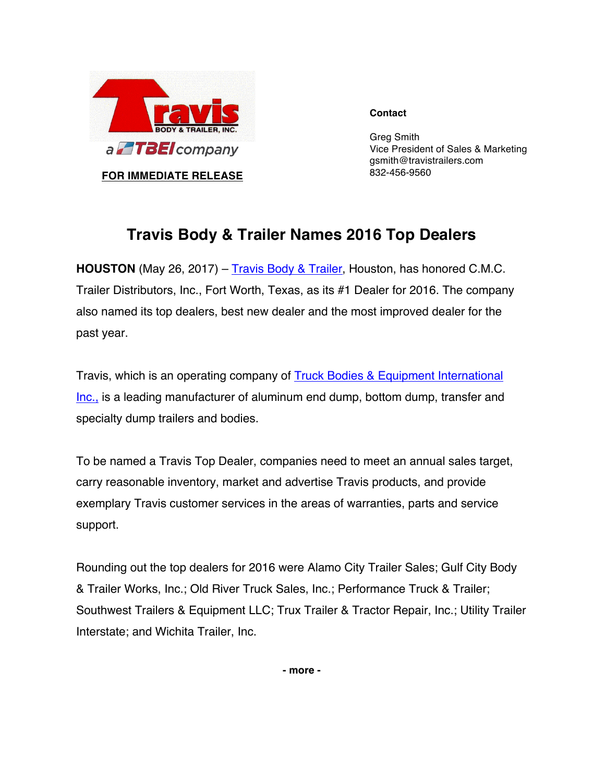

**Contact**

Greg Smith Vice President of Sales & Marketing gsmith@travistrailers.com 832-456-9560

## **Travis Body & Trailer Names 2016 Top Dealers**

**HOUSTON** (May 26, 2017) – Travis Body & Trailer, Houston, has honored C.M.C. Trailer Distributors, Inc., Fort Worth, Texas, as its #1 Dealer for 2016. The company also named its top dealers, best new dealer and the most improved dealer for the past year.

Travis, which is an operating company of Truck Bodies & Equipment International Inc., is a leading manufacturer of aluminum end dump, bottom dump, transfer and specialty dump trailers and bodies.

To be named a Travis Top Dealer, companies need to meet an annual sales target, carry reasonable inventory, market and advertise Travis products, and provide exemplary Travis customer services in the areas of warranties, parts and service support.

Rounding out the top dealers for 2016 were Alamo City Trailer Sales; Gulf City Body & Trailer Works, Inc.; Old River Truck Sales, Inc.; Performance Truck & Trailer; Southwest Trailers & Equipment LLC; Trux Trailer & Tractor Repair, Inc.; Utility Trailer Interstate; and Wichita Trailer, Inc.

**- more -**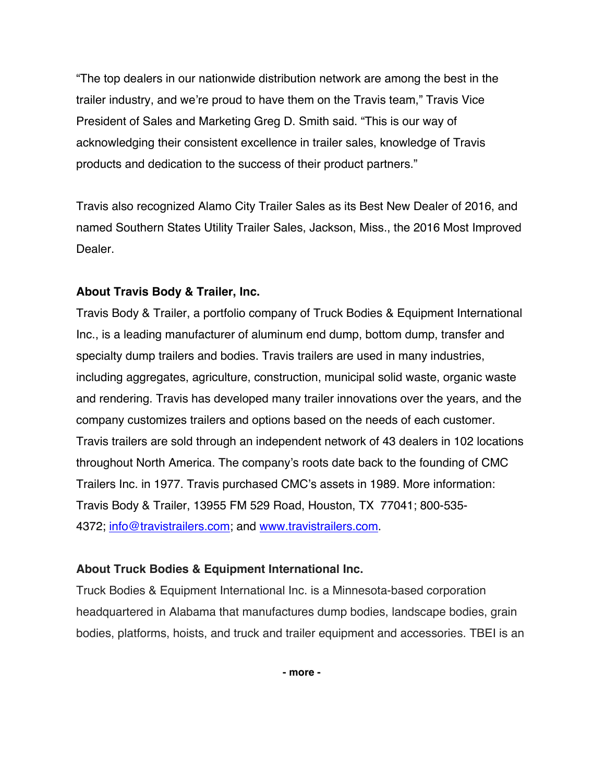"The top dealers in our nationwide distribution network are among the best in the trailer industry, and we're proud to have them on the Travis team," Travis Vice President of Sales and Marketing Greg D. Smith said. "This is our way of acknowledging their consistent excellence in trailer sales, knowledge of Travis products and dedication to the success of their product partners."

Travis also recognized Alamo City Trailer Sales as its Best New Dealer of 2016, and named Southern States Utility Trailer Sales, Jackson, Miss., the 2016 Most Improved Dealer.

## **About Travis Body & Trailer, Inc.**

Travis Body & Trailer, a portfolio company of Truck Bodies & Equipment International Inc., is a leading manufacturer of aluminum end dump, bottom dump, transfer and specialty dump trailers and bodies. Travis trailers are used in many industries, including aggregates, agriculture, construction, municipal solid waste, organic waste and rendering. Travis has developed many trailer innovations over the years, and the company customizes trailers and options based on the needs of each customer. Travis trailers are sold through an independent network of 43 dealers in 102 locations throughout North America. The company's roots date back to the founding of CMC Trailers Inc. in 1977. Travis purchased CMC's assets in 1989. More information: Travis Body & Trailer, 13955 FM 529 Road, Houston, TX 77041; 800-535- 4372; info@travistrailers.com; and www.travistrailers.com.

## **About Truck Bodies & Equipment International Inc.**

Truck Bodies & Equipment International Inc. is a Minnesota-based corporation headquartered in Alabama that manufactures dump bodies, landscape bodies, grain bodies, platforms, hoists, and truck and trailer equipment and accessories. TBEI is an

**- more -**